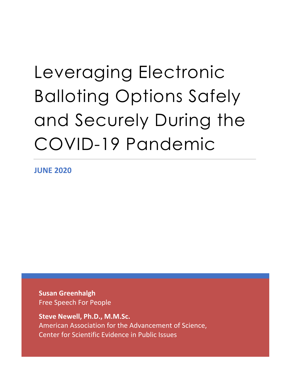# Leveraging Electronic Balloting Options Safely and Securely During the COVID-19 Pandemic

**JUNE 2020**

**Susan Greenhalgh**  Free Speech For People

**Steve Newell, Ph.D., M.M.Sc.** American Association for the Advancement of Science, Center for Scientific Evidence in Public Issues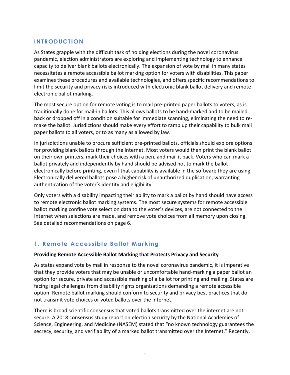# **INTRODUCTION**

As States grapple with the difficult task of holding elections during the novel coronavirus pandemic, election administrators are exploring and implementing technology to enhance capacity to deliver blank ballots electronically. The expansion of vote by mail in many states necessitates a remote accessible ballot marking option for voters with disabilities. This paper examines these procedures and available technologies, and offers specific recommendations to limit the security and privacy risks introduced with electronic blank ballot delivery and remote electronic ballot marking.

The most secure option for remote voting is to mail pre-printed paper ballots to voters, as is traditionally done for mail-in ballots. This allows ballots to be hand-marked and to be mailed back or dropped off in a condition suitable for immediate scanning, eliminating the need to remake the ballot. Jurisdictions should make every effort to ramp up their capability to bulk mail paper ballots to all voters, or to as many as allowed by law.

In jurisdictions unable to procure sufficient pre-printed ballots, officials should explore options for providing blank ballots through the Internet. Most voters would then print the blank ballot on their own printers, mark their choices with a pen, and mail it back. Voters who can mark a ballot privately and independently by hand should be advised not to mark the ballot electronically before printing, even if that capability is available in the software they are using. Electronically delivered ballots pose a higher risk of unauthorized duplication, warranting authentication of the voter's identity and eligibility.

Only voters with a disability impacting their ability to mark a ballot by hand should have access to remote electronic ballot marking systems. The most secure systems for remote accessible ballot marking confine vote selection data to the voter's devices, are not connected to the Internet when selections are made, and remove vote choices from all memory upon closing. See detailed recommendations on page 6.

# **1. Remote Accessible Ballot Marking**

#### **Providing Remote Accessible Ballot Marking that Protects Privacy and Security**

As states expand vote by mail in response to the novel coronavirus pandemic, it is imperative that they provide voters that may be unable or uncomfortable hand-marking a paper ballot an option for secure, private and accessible marking of a ballot for printing and mailing. States are facing legal challenges from disability rights organizations demanding a remote accessible option. Remote ballot marking should conform to security and privacy best practices that do not transmit vote choices or voted ballots over the internet.

There is broad scientific consensus that voted ballots transmitted over the internet are not secure. A 2018 consensus study report on election security by the National Academies of Science, Engineering, and Medicine (NASEM) stated that "no known technology guarantees the secrecy, security, and verifiability of a marked ballot transmitted over the Internet." Recently,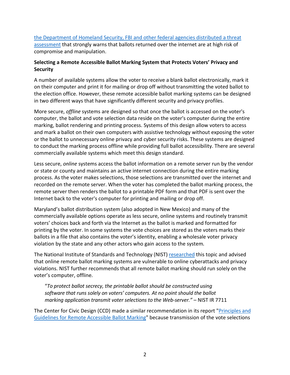[the Department of Homeland Security, FBI and other federal agencies distributed a threat](https://www.theguardian.com/us-news/2020/may/08/us-government-internet-voting-department-of-homeland-security)  [assessment](https://www.theguardian.com/us-news/2020/may/08/us-government-internet-voting-department-of-homeland-security) that strongly warns that ballots returned over the internet are at high risk of compromise and manipulation.

#### **Selecting a Remote Accessible Ballot Marking System that Protects Voters' Privacy and Security**

A number of available systems allow the voter to receive a blank ballot electronically, mark it on their computer and print it for mailing or drop off without transmitting the voted ballot to the election office. However, these remote accessible ballot marking systems can be designed in two different ways that have significantly different security and privacy profiles.

More secure, *offline* systems are designed so that once the ballot is accessed on the voter's computer, the ballot and vote selection data reside on the voter's computer during the entire marking, ballot rendering and printing process. Systems of this design allow voters to access and mark a ballot on their own computers with assistive technology without exposing the voter or the ballot to unnecessary online privacy and cyber security risks. These systems are designed to conduct the marking process offline while providing full ballot accessibility. There are several commercially available systems which meet this design standard.

Less secure, *online* systems access the ballot information on a remote server run by the vendor or state or county and maintains an active internet connection during the entire marking process. As the voter makes selections, those selections are transmitted over the internet and recorded on the remote server. When the voter has completed the ballot marking process, the remote server then renders the ballot to a printable PDF form and that PDF is sent over the Internet back to the voter's computer for printing and mailing or drop off.

Maryland's ballot distribution system (also adopted in New Mexico) and many of the commercially available options operate as less secure, online systems and routinely transmit voters' choices back and forth via the Internet as the ballot is marked and formatted for printing by the voter. In some systems the vote choices are stored as the voters marks their ballots in a file that also contains the voter's identity, enabling a wholesale voter privacy violation by the state and any other actors who gain access to the system*.*

The National Institute of Standards and Technology (NIST) [researched](https://www.nist.gov/itl/draft-nistir-7711-security-best-practices-electronic-transmission-uocava-election-materials) this topic and advised that online remote ballot marking systems are vulnerable to online cyberattacks and privacy violations. NIST further recommends that all remote ballot marking should run solely on the voter's computer, offline.

"*To protect ballot secrecy, the printable ballot should be constructed using software that runs solely on voters' computers. At no point should the ballot marking application transmit voter selections to the Web-server." –* NIST IR 7711

The Center for Civic Design (CCD) made a similar recommendation in its report ["Principles and](https://civicdesign.org/wp-content/uploads/2015/09/Principles-for-remote-ballot-marking-systems-16-0210.pdf)  [Guidelines for Remote Accessible Ballot Marking"](https://civicdesign.org/wp-content/uploads/2015/09/Principles-for-remote-ballot-marking-systems-16-0210.pdf) because transmission of the vote selections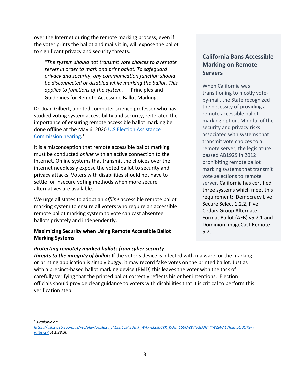over the Internet during the remote marking process, even if the voter prints the ballot and mails it in, will expose the ballot to significant privacy and security threats.

*"The system should not transmit vote choices to a remote server in order to mark and print ballot. To safeguard privacy and security, any communication function should be disconnected or disabled while marking the ballot. This applies to functions of the system." –* Principles and Guidelines for Remote Accessible Ballot Marking.

Dr. Juan Gilbert, a noted computer science professor who has studied voting system accessibility and security, reiterated the importance of ensuring remote accessible ballot marking be done offline at the May 6, 2020 [U.S Election Assistance](https://us02web.zoom.us/rec/play/uJIsIu2t_zM3SICcsASDBfJ_W47vLf2shCYX_KUJmE60UiZWNQD3MrYWZeWiE7RxmpQBOKeryyTXeY27)  [Commission hearing.](https://us02web.zoom.us/rec/play/uJIsIu2t_zM3SICcsASDBfJ_W47vLf2shCYX_KUJmE60UiZWNQD3MrYWZeWiE7RxmpQBOKeryyTXeY27) [1](#page-3-0)

It is a misconception that remote accessible ballot marking must be conducted *online* with an active connection to the Internet. Online systems that transmit the choices over the internet needlessly expose the voted ballot to security and privacy attacks. Voters with disabilities should not have to settle for insecure voting methods when more secure alternatives are available.

We urge all states to adopt an *offline* accessible remote ballot marking system to ensure all voters who require an accessible remote ballot marking system to vote can cast absentee ballots privately and independently.

#### **Maximizing Security when Using Remote Accessible Ballot Marking Systems**

#### *Protecting remotely marked ballots from cyber security*

*threats to the integrity of ballot:* If the voter's device is infected with malware, or the marking or printing application is simply buggy, it may record false votes on the printed ballot. Just as with a precinct-based ballot marking device (BMD) this leaves the voter with the task of carefully verifying that the printed ballot correctly reflects his or her intentions. Election officials should provide clear guidance to voters with disabilities that it is critical to perform this verification step.

## **California Bans Accessible Marking on Remote Servers**

When California was transitioning to mostly voteby-mail, the State recognized the necessity of providing a remote accessible ballot marking option. Mindful of the security and privacy risks associated with systems that transmit vote choices to a remote server, the legislature passed AB1929 in 2012 prohibiting remote ballot marking systems that transmit vote selections to remote server. California has certified three systems which meet this requirement: Democracy Live Secure Select 1.2.2, Five Cedars Group Alternate Format Ballot (AFB) v5.2.1 and Dominion ImageCast Remote 5.2.

<span id="page-3-0"></span><sup>1</sup> *Available at:* 

*[https://us02web.zoom.us/rec/play/uJIsIu2t\\_zM3SICcsASDBfJ\\_W47vLf2shCYX\\_KUJmE60UiZWNQD3MrYWZeWiE7RxmpQBOKery](https://us02web.zoom.us/rec/play/uJIsIu2t_zM3SICcsASDBfJ_W47vLf2shCYX_KUJmE60UiZWNQD3MrYWZeWiE7RxmpQBOKeryyTXeY27) [yTXeY27](https://us02web.zoom.us/rec/play/uJIsIu2t_zM3SICcsASDBfJ_W47vLf2shCYX_KUJmE60UiZWNQD3MrYWZeWiE7RxmpQBOKeryyTXeY27) at 1:28:30*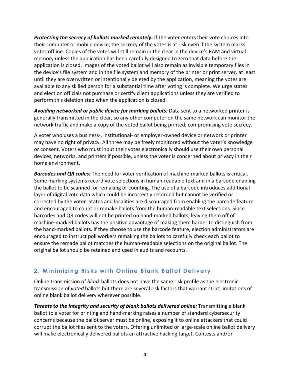*Protecting the secrecy of ballots marked remotely***:** If the voter enters their vote choices into their computer or mobile device, the secrecy of the votes is at risk even if the system marks votes offline. Copies of the votes will still remain in the clear in the device's RAM and virtual memory unless the application has been carefully designed to zero that data before the application is closed. Images of the voted ballot will also remain as invisible temporary files in the device's file system and in the file system and memory of the printer or print server, at least until they are overwritten or intentionally deleted by the application, meaning the votes are available to any skilled person for a substantial time after voting is complete. We urge states and election officials not purchase or certify client applications unless they are verified to perform this deletion step when the application is closed.

*Avoiding networked or public device for marking ballots:* Data sent to a networked printer is generally transmitted in the clear, so any other computer on the same network can monitor the network traffic and make a copy of the voted ballot being printed, compromising vote secrecy.

A voter who uses a business-, institutional- or employer-owned device or network or printer may have no right of privacy. All three may be freely monitored without the voter's knowledge or consent. Voters who must input their votes electronically should use their own personal devices, networks, and printers if possible, unless the voter is concerned about privacy in their home environment.

*Barcodes and QR codes:* The need for voter verification of machine-marked ballots is critical. Some marking systems record vote selections in human-readable text and in a barcode enabling the ballot to be scanned for remaking or counting. The use of a barcode introduces additional layer of digital vote data which could be incorrectly recorded but cannot be verified or corrected by the voter. States and localities are discouraged from enabling the barcode feature and encouraged to count or remake ballots from the human-readable text selections. Since barcodes and QR codes will not be printed on hand-marked ballots, leaving them off of machine-marked ballots has the positive advantage of making them harder to distinguish from the hand-marked ballots. If they choose to use the barcode feature, election administrators are encouraged to instruct poll workers remaking the ballots to carefully check each ballot to ensure the remade ballot matches the human-readable selections on the original ballot. The original ballot should be retained and used in audits and recounts.

# **2. Minimizing Risks with Online Blank Ballot Delivery**

Online transmission of *blank* ballots does not have the same risk profile as the electronic transmission of *voted* ballots but there are several risk factors that warrant strict limitations of online blank ballot delivery wherever possible.

*Threats to the integrity and security of blank ballots delivered online:* Transmitting a blank ballot to a voter for printing and hand-marking raises a number of standard cybersecurity concerns because the ballot server must be online, exposing it to online attackers that could corrupt the ballot files sent to the voters. Offering unlimited or large-scale online ballot delivery will make electronically delivered ballots an attractive hacking target. Contests and/or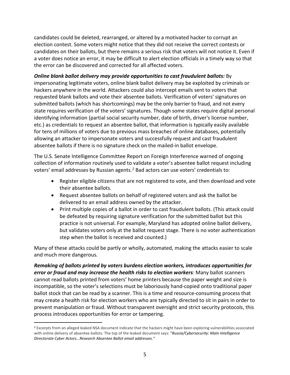candidates could be deleted, rearranged, or altered by a motivated hacker to corrupt an election contest. Some voters might notice that they did not receive the correct contests or candidates on their ballots, but there remains a serious risk that voters will not notice it. Even if a voter does notice an error, it may be difficult to alert election officials in a timely way so that the error can be discovered and corrected for all affected voters.

#### *Online blank ballot delivery may provide opportunities to cast fraudulent ballots:* By

impersonating legitimate voters, online blank ballot delivery may be exploited by criminals or hackers anywhere in the world. Attackers could also intercept emails sent to voters that requested blank ballots and vote their absentee ballots. Verification of voters' signatures on submitted ballots (which has shortcomings) may be the only barrier to fraud, and not every state requires verification of the voters' signatures. Though some states require digital personal identifying information (partial social security number, date of birth, driver's license number, etc.) as credentials to request an absentee ballot, that information is typically easily available for tens of millions of voters due to previous mass breaches of online databases, potentially allowing an attacker to impersonate voters and successfully request and cast fraudulent absentee ballots if there is no signature check on the mailed-in ballot envelope.

The U.S. Senate Intelligence Committee Report on Foreign Interference warned of ongoing collection of information routinely used to validate a voter's absentee ballot request including voters' email addresses by Russian agents.<sup>[2](#page-5-0)</sup> Bad actors can use voters' credentials to:

- Register eligible citizens that are not registered to vote, and then download and vote their absentee ballots.
- Request absentee ballots on behalf of registered voters and ask the ballot be delivered to an email address owned by the attacker.
- Print multiple copies of a ballot in order to cast fraudulent ballots. (This attack could be defeated by requiring signature verification for the submitted ballot but this practice is not universal. For example, Maryland has adopted online ballot delivery, but validates voters only at the ballot request stage. There is no voter authentication step when the ballot is received and counted.)

Many of these attacks could be partly or wholly, automated, making the attacks easier to scale and much more dangerous.

*Remaking of ballots printed by voters burdens election workers, introduces opportunities for error or fraud and may increase the health risks to election workers:* Many ballot scanners cannot read ballots printed from voters' home printers because the paper weight and size is incompatible, so the voter's selections must be laboriously hand-copied onto traditional paper ballot stock that can be read by a scanner. This is a time and resource-consuming process that may create a health risk for election workers who are typically directed to sit in pairs in order to prevent manipulation or fraud. Without transparent oversight and strict security protocols, this process introduces opportunities for error or tampering.

<span id="page-5-0"></span><sup>&</sup>lt;sup>2</sup> Excerpts from an alleged leaked NSA document indicate that the hackers might have been exploring vulnerabilities associated with online delivery of absentee ballots. The top of the leaked document says: "*Russia/Cybersecurity: Main Intelligence Directorate Cyber Actors...Research Absentee Ballot email addresses."*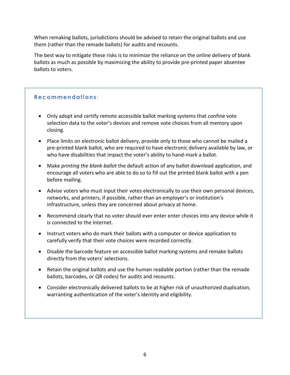When remaking ballots, jurisdictions should be advised to retain the original ballots and use them (rather than the remade ballots) for audits and recounts.

The best way to mitigate these risks is to minimize the reliance on the online delivery of blank ballots as much as possible by maximizing the ability to provide pre-printed paper absentee ballots to voters.

## **Recommendations** :

- Only adopt and certify remote accessible ballot marking systems that confine vote selection data to the voter's devices and remove vote choices from all memory upon closing.
- Place limits on electronic ballot delivery, provide only to those who cannot be mailed a pre-printed blank ballot, who are required to have electronic delivery available by law, or who have disabilities that impact the voter's ability to hand-mark a ballot.
- Make *printing the blank ballot* the default action of any ballot download application, and encourage all voters who are able to do so to fill out the printed blank ballot with a pen before mailing.
- Advise voters who must input their votes electronically to use their own personal devices, networks, and printers, if possible, rather than an employer's or institution's infrastructure, unless they are concerned about privacy at home.
- Recommend clearly that no voter should ever enter enter choices into any device while it is connected to the Internet.
- Instruct voters who do mark their ballots with a computer or device application to carefully verify that their vote choices were recorded correctly.
- Disable the barcode feature on accessible ballot marking systems and remake ballots directly from the voters' selections.
- Retain the original ballots and use the human readable portion (rather than the remade ballots, barcodes, or QR codes) for audits and recounts.
- Consider electronically delivered ballots to be at higher risk of unauthorized duplication, warranting authentication of the voter's identity and eligibility.